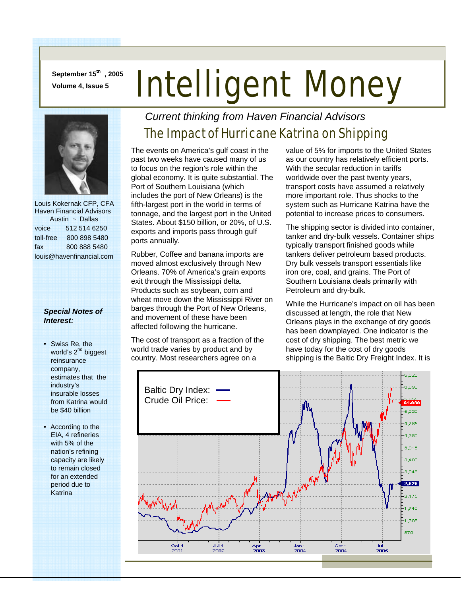**September 15th , 2005** 

# **September 15", 2005** Intelligent Money



 Louis Kokernak CFP, CFA Haven Financial Advisors Austin ~ Dallas voice 512 514 6250 toll-free 800 898 5480 fax 800 888 5480 louis@havenfinancial.com

#### *Special Notes of Interest:*

- Swiss Re, the world's 2<sup>nd</sup> biggest reinsurance company, estimates that the industry's insurable losses from Katrina would be \$40 billion
- According to the EIA, 4 refineries with 5% of the nation's refining capacity are likely to remain closed for an extended period due to Katrina

### *Current thinking from Haven Financial Advisors*

## The Impact of Hurricane Katrina on Shipping

The events on America's gulf coast in the past two weeks have caused many of us to focus on the region's role within the global economy. It is quite substantial. The Port of Southern Louisiana (which includes the port of New Orleans) is the fifth-largest port in the world in terms of tonnage, and the largest port in the United States. About \$150 billion, or 20%, of U.S. exports and imports pass through gulf ports annually.

Rubber, Coffee and banana imports are moved almost exclusively through New Orleans. 70% of America's grain exports exit through the Mississippi delta. Products such as soybean, corn and wheat move down the Mississippi River on barges through the Port of New Orleans, and movement of these have been affected following the hurricane.

The cost of transport as a fraction of the world trade varies by product and by country. Most researchers agree on a

value of 5% for imports to the United States as our country has relatively efficient ports. With the secular reduction in tariffs worldwide over the past twenty years, transport costs have assumed a relatively more important role. Thus shocks to the system such as Hurricane Katrina have the potential to increase prices to consumers.

The shipping sector is divided into container, tanker and dry-bulk vessels. Container ships typically transport finished goods while tankers deliver petroleum based products. Dry bulk vessels transport essentials like iron ore, coal, and grains. The Port of Southern Louisiana deals primarily with Petroleum and dry-bulk.

While the Hurricane's impact on oil has been discussed at length, the role that New Orleans plays in the exchange of dry goods has been downplayed. One indicator is the cost of dry shipping. The best metric we have today for the cost of dry goods shipping is the Baltic Dry Freight Index. It is